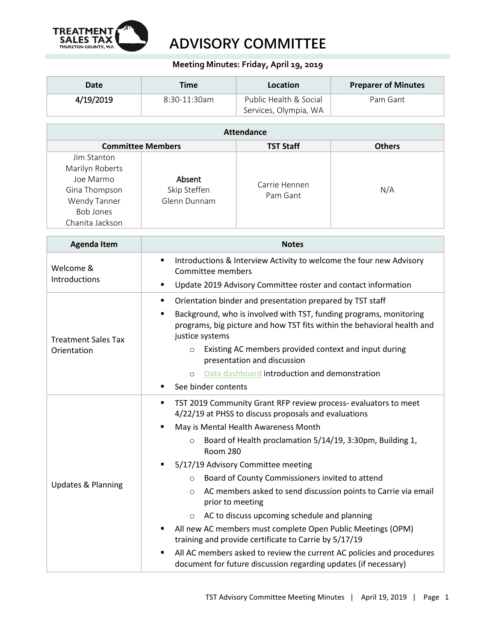

## **ADVISORY COMMITTEE**

## **Meeting Minutes: Friday, April 19, 2019**

| Date      | Time            | Location               | <b>Preparer of Minutes</b> |
|-----------|-----------------|------------------------|----------------------------|
| 4/19/2019 | $8:30-11:30$ am | Public Health & Social | Pam Gant                   |
|           |                 | Services, Olympia, WA  |                            |

| <b>Attendance</b>        |              |                  |               |  |  |  |
|--------------------------|--------------|------------------|---------------|--|--|--|
| <b>Committee Members</b> |              | <b>TST Staff</b> | <b>Others</b> |  |  |  |
| Jim Stanton              |              |                  |               |  |  |  |
| Marilyn Roberts          |              |                  |               |  |  |  |
| Joe Marmo                | Absent       | Carrie Hennen    |               |  |  |  |
| Gina Thompson            | Skip Steffen | Pam Gant         | N/A           |  |  |  |
| Wendy Tanner             | Glenn Dunnam |                  |               |  |  |  |
| <b>Bob Jones</b>         |              |                  |               |  |  |  |
| Chanita Jackson          |              |                  |               |  |  |  |

| <b>Agenda Item</b>                        | <b>Notes</b>                                                                                                                                                     |  |  |  |
|-------------------------------------------|------------------------------------------------------------------------------------------------------------------------------------------------------------------|--|--|--|
| Welcome &                                 | Introductions & Interview Activity to welcome the four new Advisory<br>٠<br>Committee members                                                                    |  |  |  |
| Introductions                             | Update 2019 Advisory Committee roster and contact information<br>$\blacksquare$                                                                                  |  |  |  |
|                                           | Orientation binder and presentation prepared by TST staff<br>٠                                                                                                   |  |  |  |
| <b>Treatment Sales Tax</b><br>Orientation | Background, who is involved with TST, funding programs, monitoring<br>programs, big picture and how TST fits within the behavioral health and<br>justice systems |  |  |  |
|                                           | Existing AC members provided context and input during<br>$\circ$<br>presentation and discussion                                                                  |  |  |  |
|                                           | Data dashboard introduction and demonstration<br>$\circ$                                                                                                         |  |  |  |
|                                           | See binder contents<br>٠                                                                                                                                         |  |  |  |
|                                           | TST 2019 Community Grant RFP review process- evaluators to meet<br>٠<br>4/22/19 at PHSS to discuss proposals and evaluations                                     |  |  |  |
|                                           | May is Mental Health Awareness Month<br>$\blacksquare$                                                                                                           |  |  |  |
| <b>Updates &amp; Planning</b>             | Board of Health proclamation 5/14/19, 3:30pm, Building 1,<br>$\circ$<br><b>Room 280</b>                                                                          |  |  |  |
|                                           | 5/17/19 Advisory Committee meeting                                                                                                                               |  |  |  |
|                                           | Board of County Commissioners invited to attend<br>$\circ$                                                                                                       |  |  |  |
|                                           | AC members asked to send discussion points to Carrie via email<br>$\circ$<br>prior to meeting                                                                    |  |  |  |
|                                           | AC to discuss upcoming schedule and planning<br>$\circ$                                                                                                          |  |  |  |
|                                           | All new AC members must complete Open Public Meetings (OPM)<br>training and provide certificate to Carrie by 5/17/19                                             |  |  |  |
|                                           | All AC members asked to review the current AC policies and procedures<br>document for future discussion regarding updates (if necessary)                         |  |  |  |